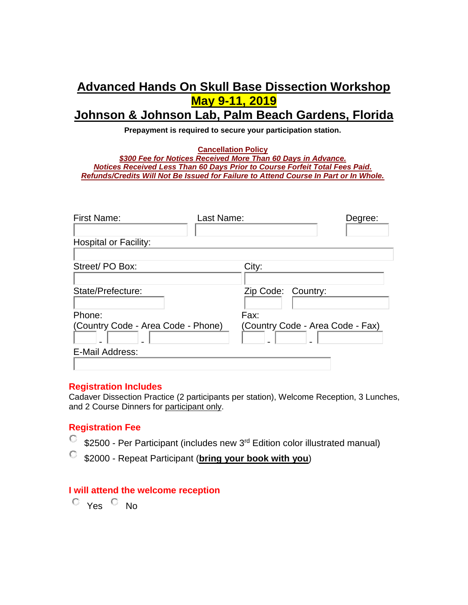# **Advanced Hands On Skull Base Dissection Workshop May 9-11, 2019 Johnson & Johnson Lab, Palm Beach Gardens, Florida**

**Prepayment is required to secure your participation station.** 

**Cancellation Policy**  *\$300 Fee for Notices Received More Than 60 Days in Advance. Notices Received Less Than 60 Days Prior to Course Forfeit Total Fees Paid. Refunds/Credits Will Not Be Issued for Failure to Attend Course In Part or In Whole.*

| First Name:<br>Last Name:          | Degree:                          |
|------------------------------------|----------------------------------|
| <b>Hospital or Facility:</b>       |                                  |
| Street/PO Box:                     | City:                            |
| State/Prefecture:                  | Zip Code: Country:               |
| Phone:                             | Fax:                             |
| (Country Code - Area Code - Phone) | (Country Code - Area Code - Fax) |
| E-Mail Address:                    |                                  |

#### **Registration Includes**

Cadaver Dissection Practice (2 participants per station), Welcome Reception, 3 Lunches, and 2 Course Dinners for participant only.

### **Registration Fee**

- 0. \$2500 - Per Participant (includes new 3<sup>rd</sup> Edition color illustrated manual)
- \$2000 Repeat Participant (**bring your book with you**)

#### **I will attend the welcome reception**

 $\circ$  Yes  $\circ$  No